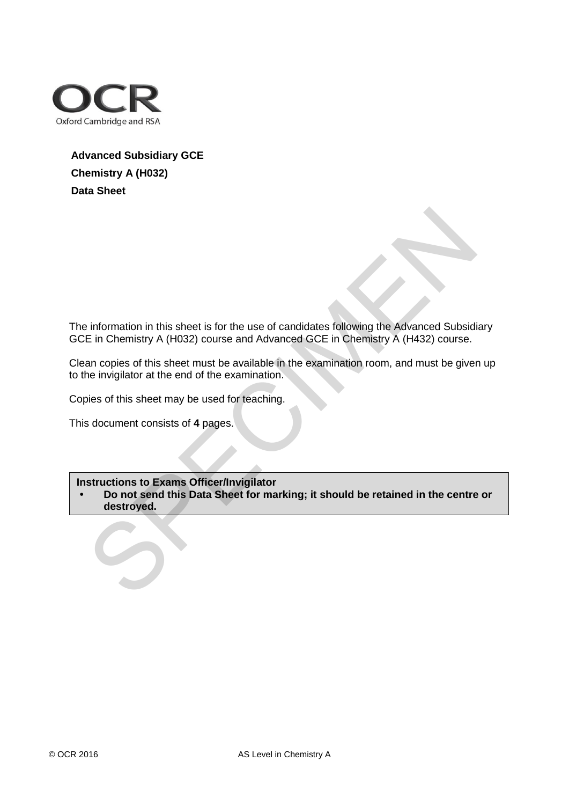

## **Advanced Subsidiary GCE Chemistry A (H032) Data Sheet**

The information in this sheet is for the use of candidates following the Advanced Subsidiary GCE in Chemistry A (H032) course and Advanced GCE in Chemistry A (H432) course. information in this sheet is for the use of candidates following the Advanced Subside<br>
E in Chemistry A (H032) course and Advanced GCE in Chemistry A (H432) course.<br>
In copies of this sheet must be available in the examina

Clean copies of this sheet must be available in the examination room, and must be given up to the invigilator at the end of the examination.

Copies of this sheet may be used for teaching.

This document consists of **4** pages.

## **Instructions to Exams Officer/Invigilator**

**• Do not send this Data Sheet for marking; it should be retained in the centre or destroyed.**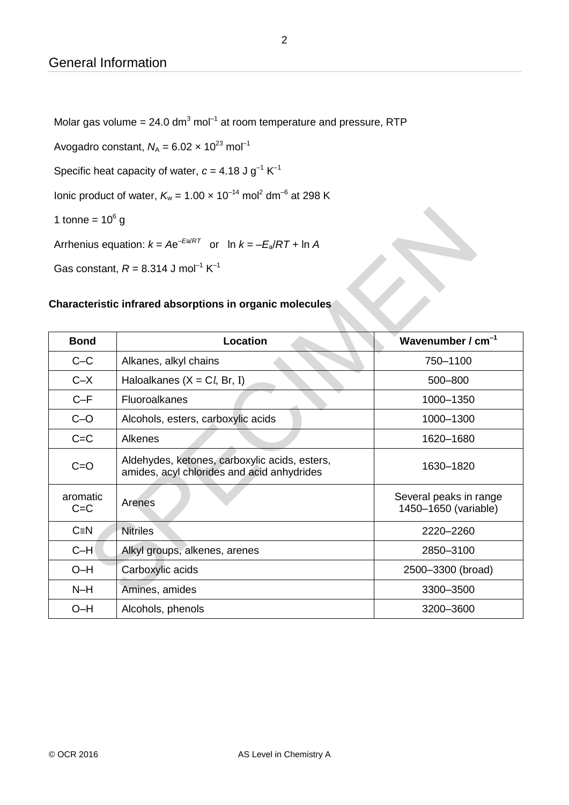Molar gas volume = 24.0 dm<sup>3</sup> mol<sup>-1</sup> at room temperature and pressure, RTP

Avogadro constant,  $N_A = 6.02 \times 10^{23}$  mol<sup>-1</sup>

Specific heat capacity of water,  $c = 4.18$  J g<sup>-1</sup> K<sup>-1</sup>

lonic product of water,  $K_w = 1.00 \times 10^{-14}$  mol<sup>2</sup> dm<sup>-6</sup> at 298 K

## **Characteristic infrared absorptions in organic molecules**

| 1 tonne = $10^6$ g                                                |                                                                                             |                                                |  |  |  |  |  |  |  |  |  |  |
|-------------------------------------------------------------------|---------------------------------------------------------------------------------------------|------------------------------------------------|--|--|--|--|--|--|--|--|--|--|
| Arrhenius equation: $k = Ae^{-Ea/RT}$ or ln $k = -E_a/RT + \ln A$ |                                                                                             |                                                |  |  |  |  |  |  |  |  |  |  |
| Gas constant, $R = 8.314$ J mol <sup>-1</sup> K <sup>-1</sup>     |                                                                                             |                                                |  |  |  |  |  |  |  |  |  |  |
|                                                                   |                                                                                             |                                                |  |  |  |  |  |  |  |  |  |  |
| Characteristic infrared absorptions in organic molecules          |                                                                                             |                                                |  |  |  |  |  |  |  |  |  |  |
| Wavenumber / $cm-1$<br>Location<br><b>Bond</b>                    |                                                                                             |                                                |  |  |  |  |  |  |  |  |  |  |
| $C-C$                                                             | Alkanes, alkyl chains                                                                       | 750-1100                                       |  |  |  |  |  |  |  |  |  |  |
| $C - X$                                                           | Haloalkanes ( $X = Cl$ , Br, I)                                                             | 500-800                                        |  |  |  |  |  |  |  |  |  |  |
| $C-F$                                                             | Fluoroalkanes                                                                               | 1000-1350                                      |  |  |  |  |  |  |  |  |  |  |
| $C - O$                                                           | Alcohols, esters, carboxylic acids                                                          | 1000-1300                                      |  |  |  |  |  |  |  |  |  |  |
| $C = C$                                                           | Alkenes                                                                                     | 1620-1680                                      |  |  |  |  |  |  |  |  |  |  |
| $C = O$                                                           | Aldehydes, ketones, carboxylic acids, esters,<br>amides, acyl chlorides and acid anhydrides | 1630-1820                                      |  |  |  |  |  |  |  |  |  |  |
| aromatic<br>$C = C$                                               | Arenes                                                                                      | Several peaks in range<br>1450-1650 (variable) |  |  |  |  |  |  |  |  |  |  |
| $C \equiv N$                                                      | <b>Nitriles</b>                                                                             | 2220-2260                                      |  |  |  |  |  |  |  |  |  |  |
| $C-H$                                                             | Alkyl groups, alkenes, arenes                                                               | 2850-3100                                      |  |  |  |  |  |  |  |  |  |  |
| $O-H$                                                             | Carboxylic acids                                                                            | 2500-3300 (broad)                              |  |  |  |  |  |  |  |  |  |  |
| $N-H$                                                             | Amines, amides                                                                              | 3300-3500                                      |  |  |  |  |  |  |  |  |  |  |
| $O-H$                                                             | Alcohols, phenols                                                                           | 3200-3600                                      |  |  |  |  |  |  |  |  |  |  |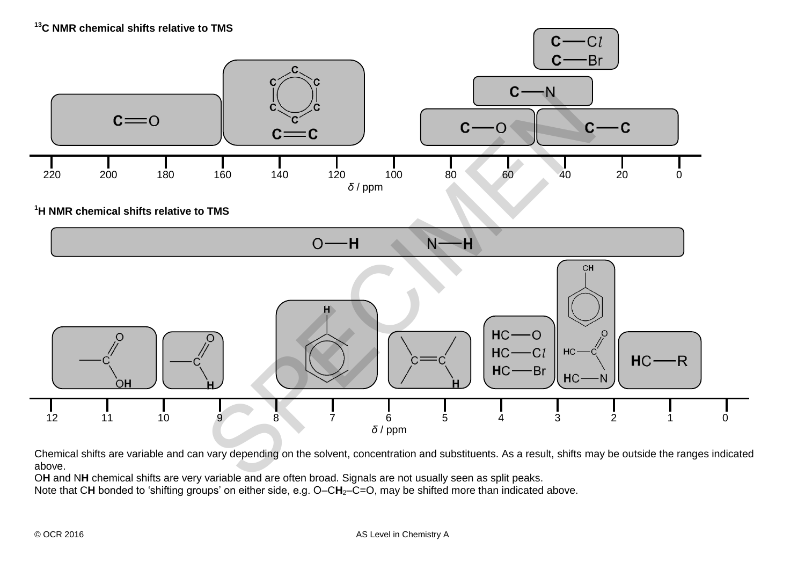

Chemical shifts are variable and can vary depending on the solvent, concentration and substituents. As a result, shifts may be outside the ranges indicated above.

O**H** and N**H** chemical shifts are very variable and are often broad. Signals are not usually seen as split peaks.

Note that CH bonded to 'shifting groups' on either side, e.g. O–CH<sub>2</sub>–C=O, may be shifted more than indicated above.